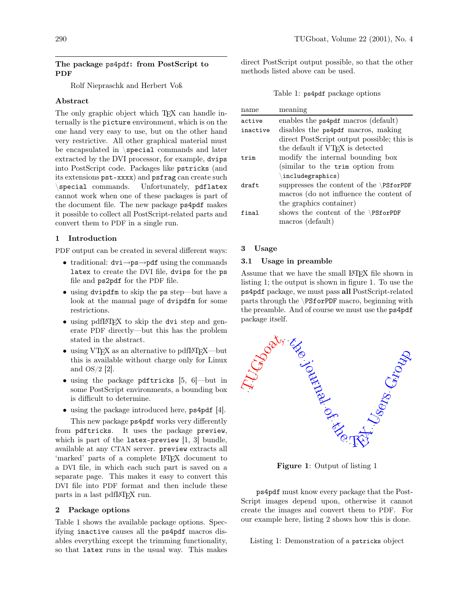## The package ps4pdf: from PostScript to PDF

Rolf Niepraschk and Herbert Voß

# Abstract

The only graphic object which T<sub>EX</sub> can handle internally is the picture environment, which is on the one hand very easy to use, but on the other hand very restrictive. All other graphical material must be encapsulated in \special commands and later extracted by the DVI processor, for example, dvips into PostScript code. Packages like pstricks (and its extensions pst-xxxx) and psfrag can create such \special commands. Unfortunately, pdflatex cannot work when one of these packages is part of the document file. The new package ps4pdf makes it possible to collect all PostScript-related parts and convert them to PDF in a single run.

#### 1 Introduction

PDF output can be created in several different ways:

- traditional: dvi→ps→pdf using the commands latex to create the DVI file, dvips for the ps file and ps2pdf for the PDF file.
- using dvipdfm to skip the ps step—but have a look at the manual page of dvipdfm for some restrictions.
- using pdfLAT<sub>F</sub>X to skip the dvi step and generate PDF directly—but this has the problem stated in the abstract.
- using VTFX as an alternative to pdfIATFX—but this is available without charge only for Linux and OS/2 [\[2\]](#page-2-0).
- using the package pdftricks [\[5,](#page-2-1) [6\]](#page-2-2)—but in some PostScript environments, a bounding box is difficult to determine.
- using the package introduced here, ps4pdf [\[4\]](#page-2-3).

This new package ps4pdf works very differently from pdftricks. It uses the package preview, which is part of the  $\texttt{latex-preview}$  [\[1,](#page-2-4) [3\]](#page-2-5) bundle, available at any CTAN server. preview extracts all 'marked' parts of a complete LATEX document to a DVI file, in which each such part is saved on a separate page. This makes it easy to convert this DVI file into PDF format and then include these parts in a last pdfL<sup>AT</sup>FX run.

## 2 Package options

Table [1](#page-0-0) shows the available package options. Specifying inactive causes all the ps4pdf macros disables everything except the trimming functionality, so that latex runs in the usual way. This makes direct PostScript output possible, so that the other methods listed above can be used.

<span id="page-0-0"></span>Table 1: ps4pdf package options

| name     | meaning                                    |
|----------|--------------------------------------------|
| active   | enables the ps4pdf macros (default)        |
| inactive | disables the ps4pdf macros, making         |
|          | direct PostScript output possible; this is |
|          | the default if VTFX is detected            |
| trim     | modify the internal bounding box           |
|          | (similar to the trim option from           |
|          | $\langle$ includegraphics)                 |
| draft.   | suppresses the content of the $\P$ SforPDF |
|          | macros (do not influence the content of    |
|          | the graphics container)                    |
| final    | shows the content of the $\P$ SforPDF      |
|          | macros (default)                           |
|          |                                            |

#### 3 Usage

#### 3.1 Usage in preamble

Assume that we have the small LATEX file shown in listing [1;](#page-0-1) the output is shown in figure [1.](#page-0-2) To use the ps4pdf package, we must pass all PostScript-related parts through the \PSforPDF macro, beginning with the preamble. And of course we must use the ps4pdf package itself.



<span id="page-0-2"></span>Figure 1: Output of listing [1](#page-0-1)

ps4pdf must know every package that the Post-Script images depend upon, otherwise it cannot create the images and convert them to PDF. For our example here, listing [2](#page-1-0) shows how this is done.

<span id="page-0-1"></span>Listing 1: Demonstration of a pstricks object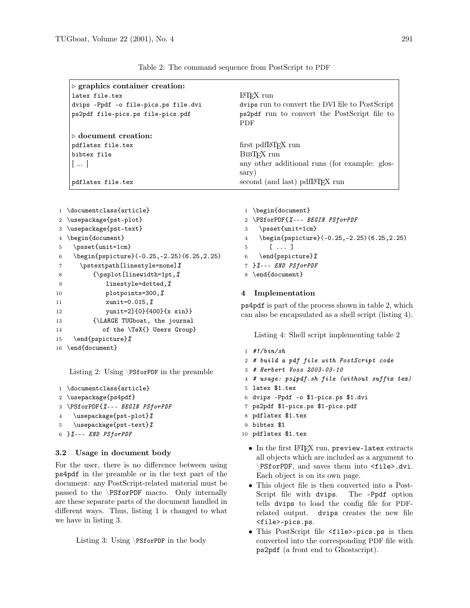| $\triangleright$ graphics container creation: |                                                            |
|-----------------------------------------------|------------------------------------------------------------|
| latex file.tex                                | LAT <sub>F</sub> X run                                     |
| dvips -Ppdf -o file-pics.ps file.dvi          | dvips run to convert the DVI file to PostScript            |
| ps2pdf file-pics.ps file-pics.pdf             | ps2pdf run to convert the PostScript file to<br><b>PDF</b> |
| $\triangleright$ document creation:           |                                                            |
| pdflatex file.tex                             | first pdfl#T <sub>F</sub> X run                            |
| bibtex file                                   | BIBT <sub>F</sub> X run                                    |
| $\  \ $                                       | any other additional runs (for example: glos-              |
|                                               | sary)                                                      |
| pdflatex file.tex                             | second (and last) pdfIAT <sub>F</sub> X run                |

<span id="page-1-2"></span>Table 2: The command sequence from PostScript to PDF

```
1 \documentclass{article}
2 \usepackage{pst-plot}
3 \usepackage{pst-text}
4 \begin{document}
5 \psset{unit=1cm}
6 \begin{pspicture}(-0.25,-2.25)(6.25,2.25)
7 \pstextpath[linestyle=none]%
8 {\psplot[linewidth=1pt,%
9 linestyle=dotted, %10 plotpoints=300, %
11 xunit=0.015, %
12 yunit=2]{0}{400}{x sin}}
13 {\LARGE TUGboat, the journal
14 of the \TeX{} Users Group}
15 \end{pspicture}%
16 \end{document}
```
<span id="page-1-0"></span>Listing 2: Using \PSforPDF in the preamble

```
1 \documentclass{article}
2 \usepackage{ps4pdf}
3 \PSforPDF{%--- BEGIN PSforPDF
4 \usepackage{pst-plot}%
5 \usepackage{pst-text}%
6 }%--- END PSfor PDF
```
## 3.2 Usage in document body

For the user, there is no difference between using ps4pdf in the preamble or in the text part of the document: any PostScript-related material must be passed to the \PSforPDF macro. Only internally are these separate parts of the document handled in different ways. Thus, listing [1](#page-0-1) is changed to what we have in listing [3.](#page-1-1)

<span id="page-1-1"></span>Listing 3: Using \PSforPDF in the body

```
1 \begin{document}
```
- 2 \PSforPDF{%--- BEGIN PSforPDF
- 3 \psset{unit=1cm}
- 4 \begin{pspicture}(-0.25,-2.25)(6.25,2.25)
- 5 [ ... ]
- 6 \end{pspicture}%
- 7 }%--- END PSforPDF
- 8 \end{document}

## 4 Implementation

ps4pdf is part of the process shown in table [2,](#page-1-2) which can also be encapsulated as a shell script (listing [4\)](#page-1-3).

<span id="page-1-3"></span>Listing 4: Shell script implementing table [2](#page-1-2)

```
1 #!/bin/sh
```
- 2 # build a pdf file with PostScript code
- 3 # Herbert Voss 2003-03-10
- 4 # usage: ps4pdf.sh file (without suffix tex)
- 5 latex \$1.tex
- 6 dvips -Ppdf -o \$1-pics.ps \$1.dvi
- 7 ps2pdf \$1-pics.ps \$1-pics.pdf
- 8 pdflatex \$1.tex
- 9 bibtex \$1
- 10 pdflatex \$1.tex
	- In the first LATFX run, preview-latex extracts all objects which are included as a argument to \PSforPDF, and saves them into <file>.dvi. Each object is on its own page.
	- This object file is then converted into a Post-Script file with dvips. The -Ppdf option tells dvips to load the config file for PDFrelated output. dvips creates the new file <file>-pics.ps.
	- This PostScript file <file>-pics.ps is then converted into the corresponding PDF file with ps2pdf (a front end to Ghostscript).